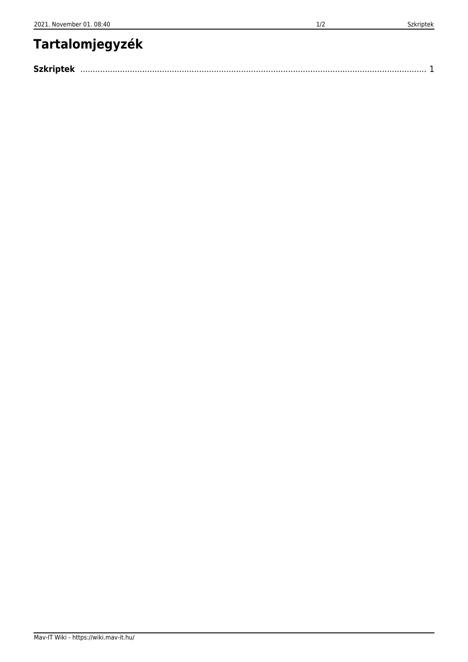## **Tartalomjegyzék**

| <b>Szkripte</b> |  |
|-----------------|--|
|                 |  |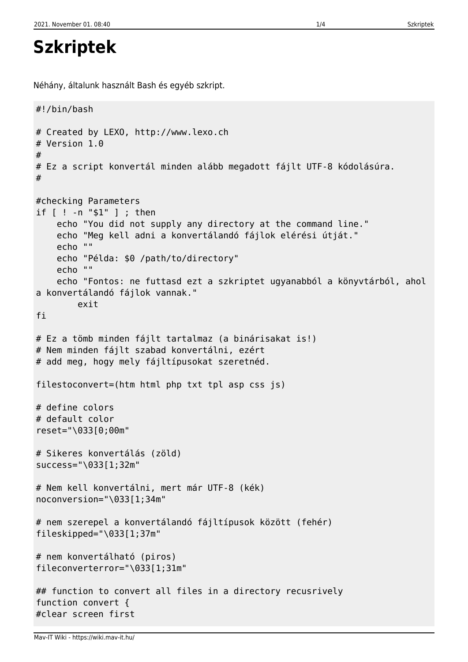<span id="page-2-0"></span>Néhány, általunk használt Bash és egyéb szkript.

```
#!/bin/bash
# Created by LEXO, http://www.lexo.ch
# Version 1.0
#
# Ez a script konvertál minden alább megadott fájlt UTF-8 kódolásúra.
#
#checking Parameters
if [ ! -n "$1" ] ; then
     echo "You did not supply any directory at the command line."
     echo "Meg kell adni a konvertálandó fájlok elérési útját."
     echo ""
     echo "Példa: $0 /path/to/directory"
     echo ""
     echo "Fontos: ne futtasd ezt a szkriptet ugyanabból a könyvtárból, ahol
a konvertálandó fájlok vannak."
         exit
fi
# Ez a tömb minden fájlt tartalmaz (a binárisakat is!)
# Nem minden fájlt szabad konvertálni, ezért
# add meg, hogy mely fájltípusokat szeretnéd.
filestoconvert=(htm html php txt tpl asp css js)
# define colors
# default color
reset="\033[0;00m"
# Sikeres konvertálás (zöld)
success="\033[1;32m"
# Nem kell konvertálni, mert már UTF-8 (kék)
noconversion="\033[1;34m"
# nem szerepel a konvertálandó fájltípusok között (fehér)
fileskipped="\033[1;37m"
# nem konvertálható (piros)
fileconverterror="\033[1;31m"
## function to convert all files in a directory recusrively
function convert {
#clear screen first
```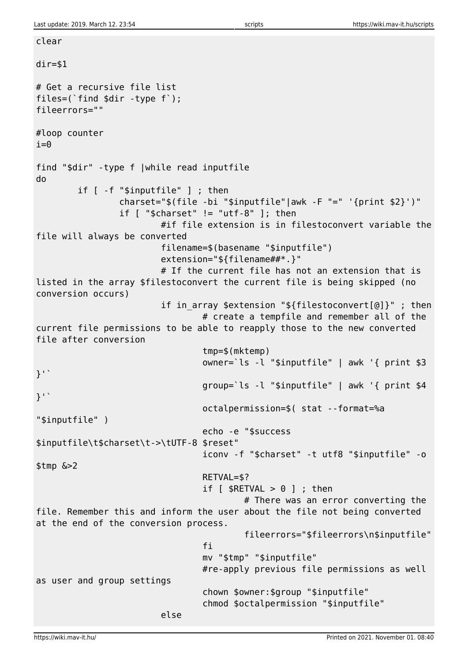clear

 $dir= $1$ # Get a recursive file list files=(`find \$dir -type f`); fileerrors="" #loop counter  $i=0$ find "\$dir" -type f |while read inputfile do if [ -f "\$inputfile" ] ; then charset="\$(file -bi "\$inputfile"|awk -F "=" '{print \$2}')" if  $\lceil$  "\$charset"  $\lceil$  = "utf-8"  $\lceil$ ; then #if file extension is in filestoconvert variable the file will always be converted filename=\$(basename "\$inputfile") extension="\${filename##\*.}" # If the current file has not an extension that is listed in the array \$filestoconvert the current file is being skipped (no conversion occurs) if in array \$extension "\${filestoconvert[@]}" ; then # create a tempfile and remember all of the current file permissions to be able to reapply those to the new converted file after conversion tmp=\$(mktemp) owner=`ls -l "\$inputfile" | awk '{ print \$3 }'` group=`ls -l "\$inputfile" | awk '{ print \$4 }'` octalpermission=\$( stat --format=%a "\$inputfile" ) echo -e "\$success \$inputfile\t\$charset\t->\tUTF-8 \$reset" iconv -f "\$charset" -t utf8 "\$inputfile" -o \$tmp &>2 RETVAL=\$? if  $[$  \$RETVAL  $> 0$  ] ; then # There was an error converting the file. Remember this and inform the user about the file not being converted at the end of the conversion process. fileerrors="\$fileerrors\n\$inputfile" fi a shekarar 1999 ta 1999 ta 1999 ta 1999 ta 1999 ta 1999 ta 1999 ta 1999 ta 1999 ta 1999 ta 1999 ta 1999 ta mv "\$tmp" "\$inputfile" #re-apply previous file permissions as well as user and group settings chown \$owner:\$group "\$inputfile" chmod \$octalpermission "\$inputfile" else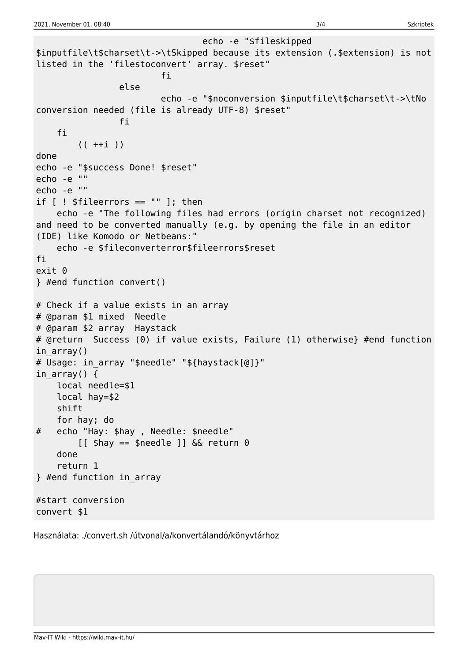echo -e "\$fileskipped \$inputfile\t\$charset\t->\tSkipped because its extension (.\$extension) is not listed in the 'filestoconvert' array. \$reset" fi a shekarar 1990 ta 1991 ta 1991 ta 1992 ta 1992 ta 1993 ta 1993 ta 1994 ta 1994 ta 1994 ta 1994 ta 1994 ta else echo -e "\$noconversion \$inputfile\t\$charset\t->\tNo conversion needed (file is already UTF-8) \$reset" fi a shekarar 1990 <mark>fi</mark> fi  $(( + +i ))$ done echo -e "\$success Done! \$reset" echo -e "" echo -e "" if  $[$   $!$  \$fileerrors == "" ]; then echo -e "The following files had errors (origin charset not recognized) and need to be converted manually (e.g. by opening the file in an editor (IDE) like Komodo or Netbeans:" echo -e \$fileconverterror\$fileerrors\$reset fi exit 0 } #end function convert() # Check if a value exists in an array # @param \$1 mixed Needle # @param \$2 array Haystack # @return Success (0) if value exists, Failure (1) otherwise} #end function in  $arrow()$ # Usage: in\_array "\$needle" "\${haystack[@]}" in array()  $\{$  local needle=\$1 local hay=\$2 shift for hay; do # echo "Hay: \$hay , Needle: \$needle"  $\begin{bmatrix} \end{bmatrix}$  shay == \$needle  $\begin{bmatrix} \end{bmatrix}$  &  $\&$  return 0 done return 1 } #end function in\_array #start conversion convert \$1

Használata: ./convert.sh /útvonal/a/konvertálandó/könyvtárhoz